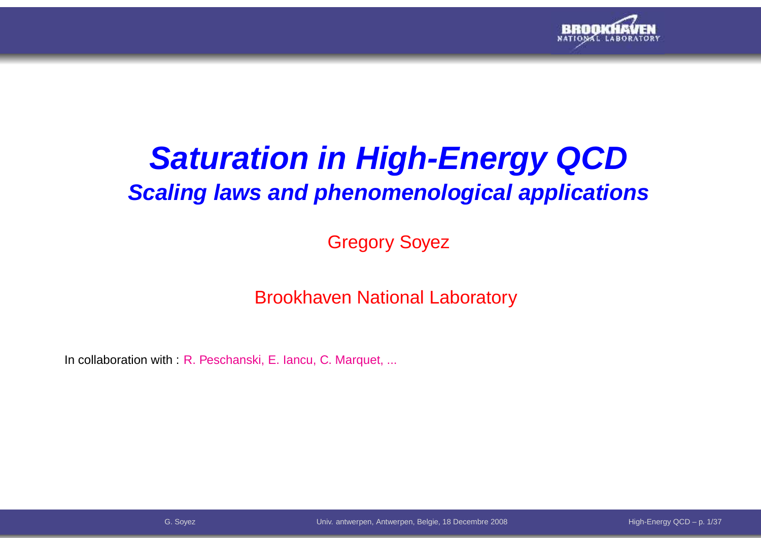

# **Saturation in High-Energy QCDScaling laws and phenomenological applications**

Gregory Soyez

Brookhaven National Laboratory

In collaboration with : R. Peschanski, E. Iancu, C. Marquet, ...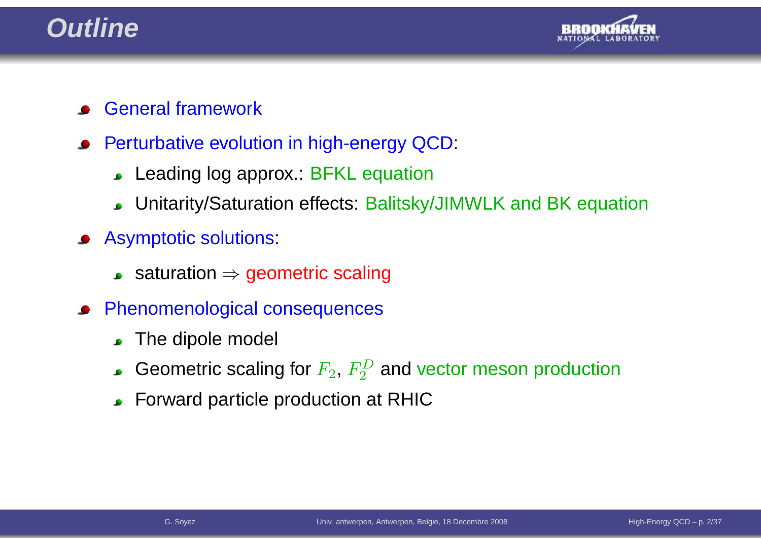## **Outline**



- General framework
- Perturbative evolution in high-energy QCD:
	- Leading log approx.: BFKL equation
	- Unitarity/Saturation effects: Balitsky/JIMWLK and BK equation
- Asymptotic solutions:
	- saturation  $\Rightarrow$  geometric scaling
- Phenomenological consequences $\bullet$ 
	- The dipole model  $\bullet$
	- Geometric scaling for  $F_2, \, F_2^D$  and vector meson production
	- Forward particle production at RHIC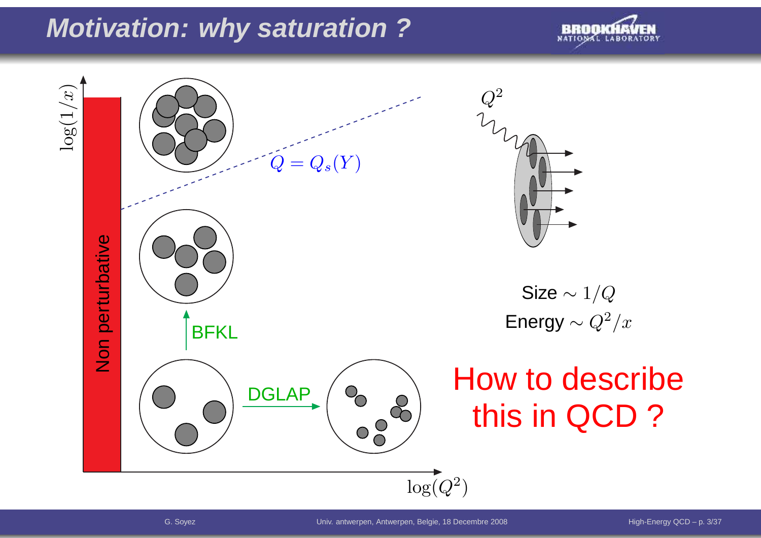## **Motivation: why saturation ?**



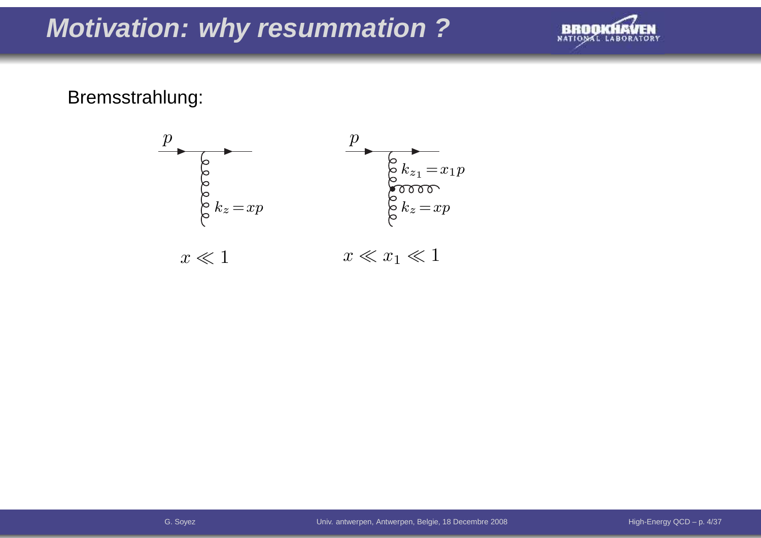## **Motivation: why resummation ?**



## Bremsstrahlung:

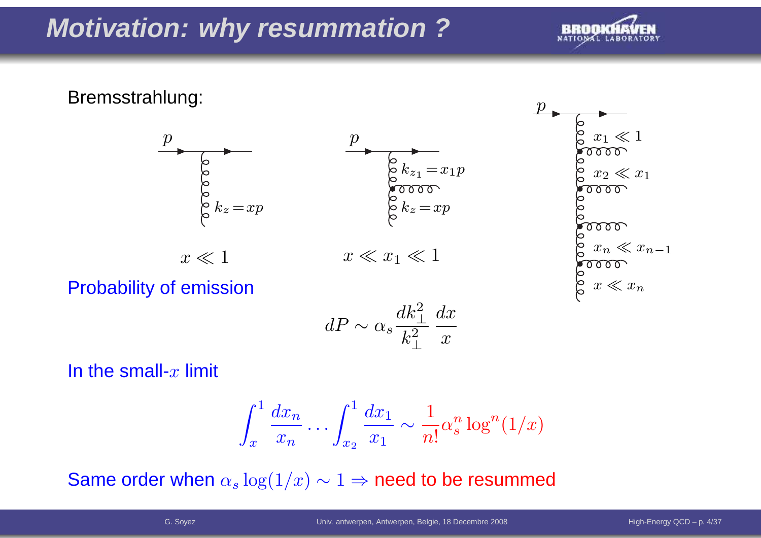## **Motivation: why resummation ?**



## Bremsstrahlung:





Probability of emission

$$
dP \sim \alpha_s \frac{dk_\perp^2}{k_\perp^2} \frac{dx}{x}
$$

In the small- $x$  limit

$$
\int_x^1 \frac{dx_n}{x_n} \dots \int_{x_2}^1 \frac{dx_1}{x_1} \sim \frac{1}{n!} \alpha_s^n \log^n(1/x)
$$

Same order when  $\alpha_s \log(1/x) \sim 1 \Rightarrow$  need to be resummed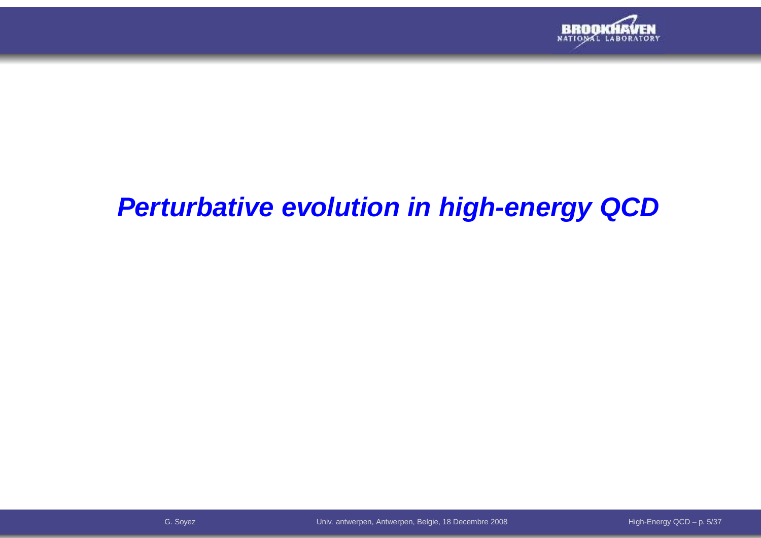

## **Perturbative evolution in high-energy QCD**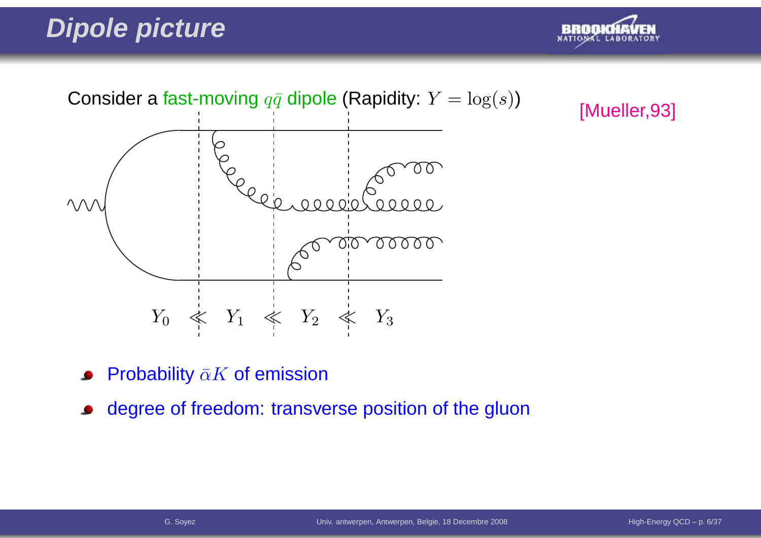## **Dipole picture**





[Mueller,93]

- Probability  $\bar{\alpha}K$  of emission
- degree of freedom: transverse position of the gluon $\bullet$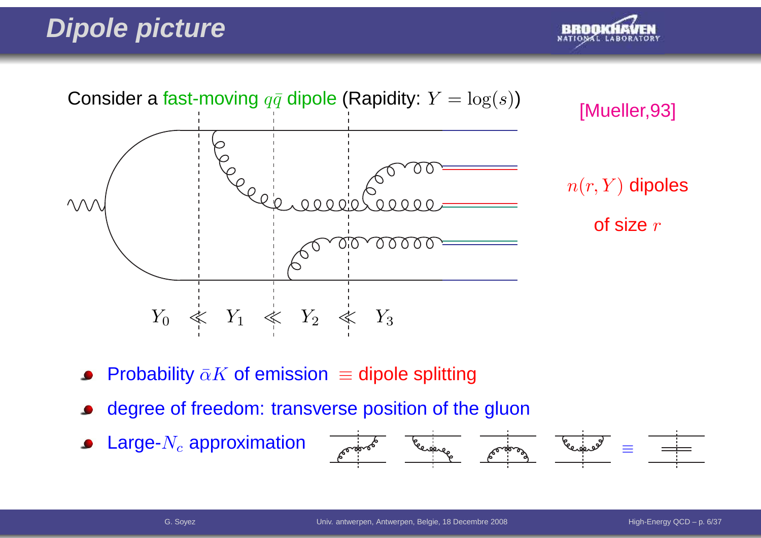## **Dipole picture**





- Probability  $\bar{\alpha}K$  of emission  $\equiv$  dipole splitting
- degree of freedom: transverse position of the gluon
- Large- $N_c$  approximation

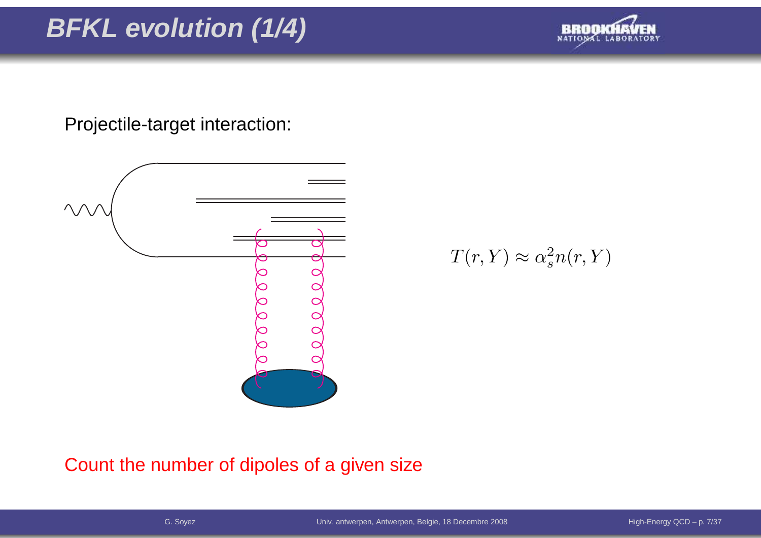# **BFKL evolution (1/4)**



Projectile-target interaction:



 $T(r,Y)\approx\alpha_s^2$  $\frac{2}{s}n(r,Y)$ 

Count the number of dipoles of <sup>a</sup> given size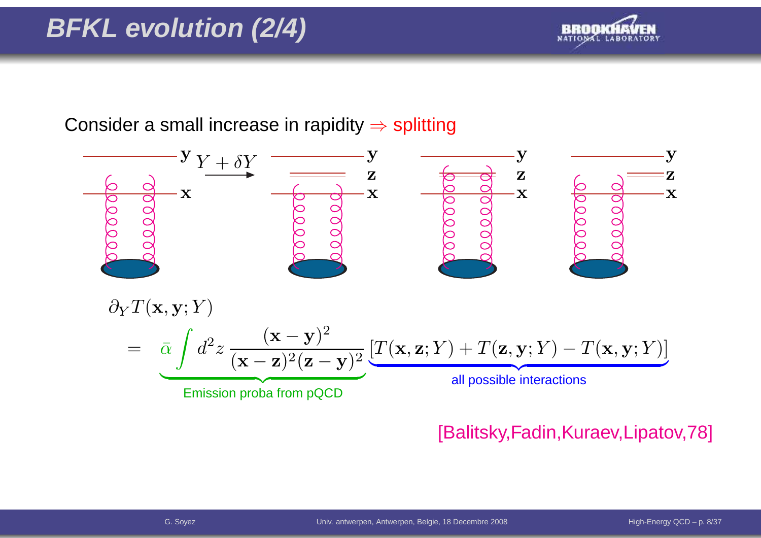# **BFKL evolution (2/4)**



Consider a small increase in rapidity  $\Rightarrow$  splitting



## [Balitsky,Fadin,Kuraev,Lipatov,78]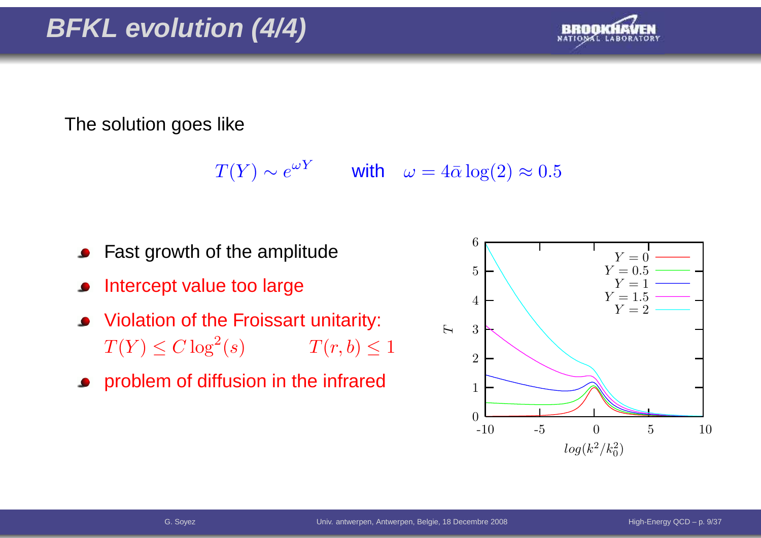

The solution goes like

 $T(Y) \sim e^{\omega Y}$  with  $\omega = 4\bar{\alpha} \log(2) \approx 0.5$ 

- Fast growth of the amplitude
- Intercept value too large
- Violation of the Froissart unitarity:  $T(Y) \leq C \log^2$  $T(r, b) \leq 1$
- problem of diffusion in the infrared

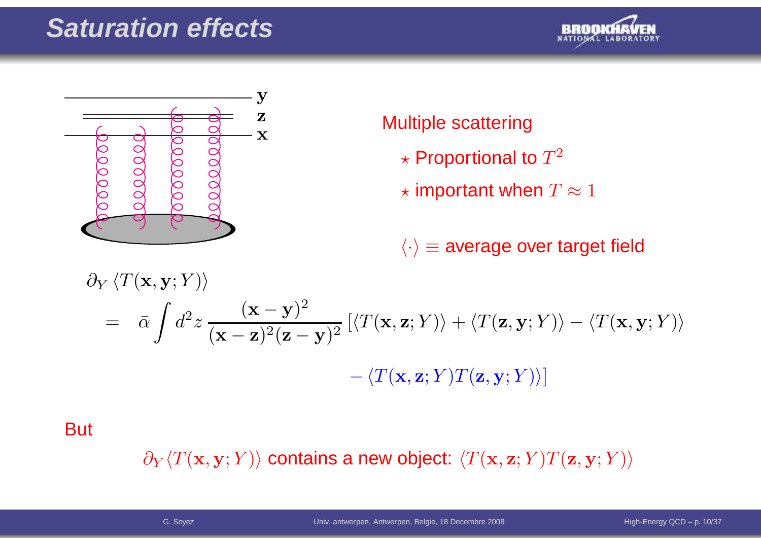## **Saturation effects**





## Multiple scattering

- $\star$  Proportional to  $T^2$
- $\star$  important when  $T\approx 1$

 $\langle \cdot \rangle$   $\equiv$  average over target field

$$
\partial_Y \langle T(\mathbf{x}, \mathbf{y}; Y) \rangle
$$
  
=  $\bar{\alpha} \int d^2 z \frac{(\mathbf{x} - \mathbf{y})^2}{(\mathbf{x} - \mathbf{z})^2 (\mathbf{z} - \mathbf{y})^2} \left[ \langle T(\mathbf{x}, \mathbf{z}; Y) \rangle + \langle T(\mathbf{z}, \mathbf{y}; Y) \rangle - \langle T(\mathbf{x}, \mathbf{y}; Y) \rangle \right]$   
-  $\langle T(\mathbf{x}, \mathbf{z}; Y) T(\mathbf{z}, \mathbf{y}; Y) \rangle$ 

**But** 

 $\partial_Y \langle T(\mathbf{x},\mathbf{y}; Y) \rangle$  contains a new object:  $\langle T(\mathbf{x},\mathbf{z}; Y) T(\mathbf{z},\mathbf{y}; Y) \rangle$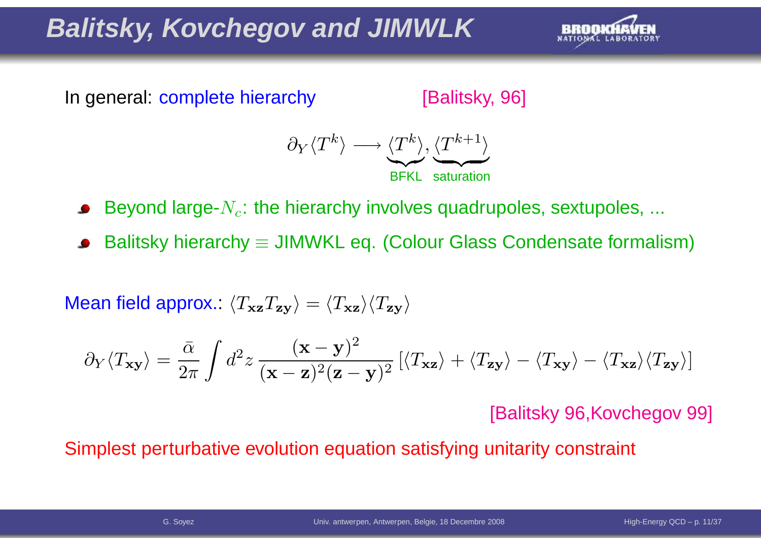# **Balitsky, Kovchegov and JIMWLK**



In general: complete hierarchy

[Balitsky, 96]



Beyond large- $N_c$ : the hierarchy involves quadrupoles, sextupoles, ...

Balitsky hierarchy  $\equiv$  JIMWKL eq. (Colour Glass Condensate formalism)

Mean field approx.:  $\langle T_{\bf x z}T_{\bf z y}\rangle=\langle T_{\bf x z}\rangle\langle T_{\bf z y}\rangle$ 

$$
\partial_Y \langle T_{\mathbf{x} \mathbf{y}} \rangle = \frac{\bar{\alpha}}{2\pi} \int d^2 z \, \frac{(\mathbf{x} - \mathbf{y})^2}{(\mathbf{x} - \mathbf{z})^2 (\mathbf{z} - \mathbf{y})^2} \left[ \langle T_{\mathbf{x} \mathbf{z}} \rangle + \langle T_{\mathbf{z} \mathbf{y}} \rangle - \langle T_{\mathbf{x} \mathbf{z}} \rangle \langle T_{\mathbf{z} \mathbf{y}} \rangle \right]
$$

[Balitsky 96,Kovchegov 99]

Simplest perturbative evolution equation satisfying unitarity constraint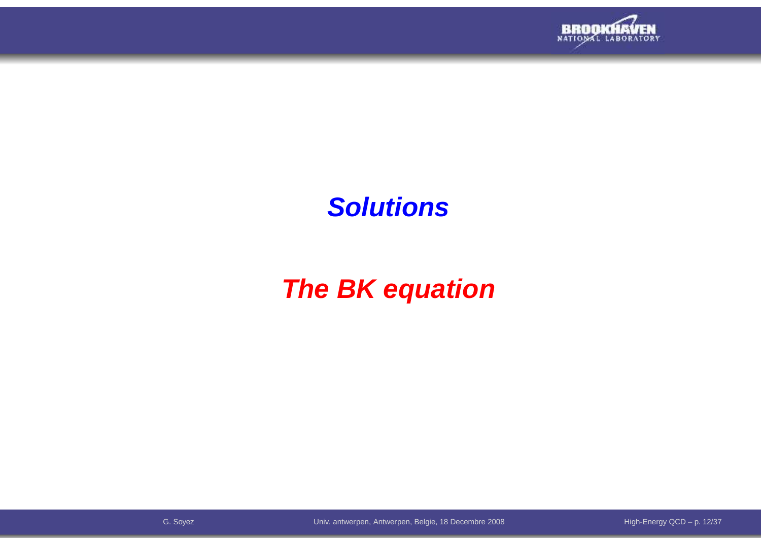

## **Solutions**

# **The BK equation**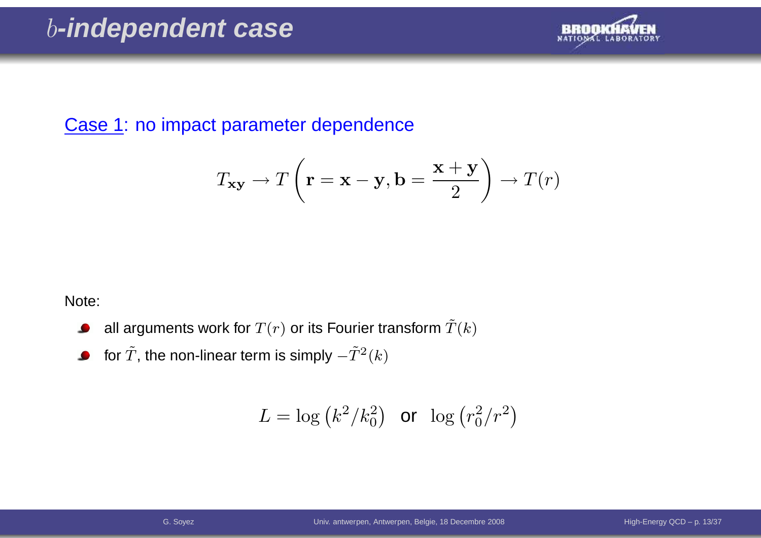

Case 1: no impact parameter dependence

$$
T_{\mathbf{xy}} \to T\left(\mathbf{r} = \mathbf{x} - \mathbf{y}, \mathbf{b} = \frac{\mathbf{x} + \mathbf{y}}{2}\right) \to T(r)
$$

Note:

- all arguments work for  $T(r)$  or its Fourier transform  $\tilde T(k)$  $\bullet$
- for  $\tilde{T}$ , the non-linear term is simply  $-\tilde{T}^{2}(k)$  $\bullet$

$$
L = \log \left( k^2 / k_0^2 \right) \quad \text{or} \quad \log \left( r_0^2 / r^2 \right)
$$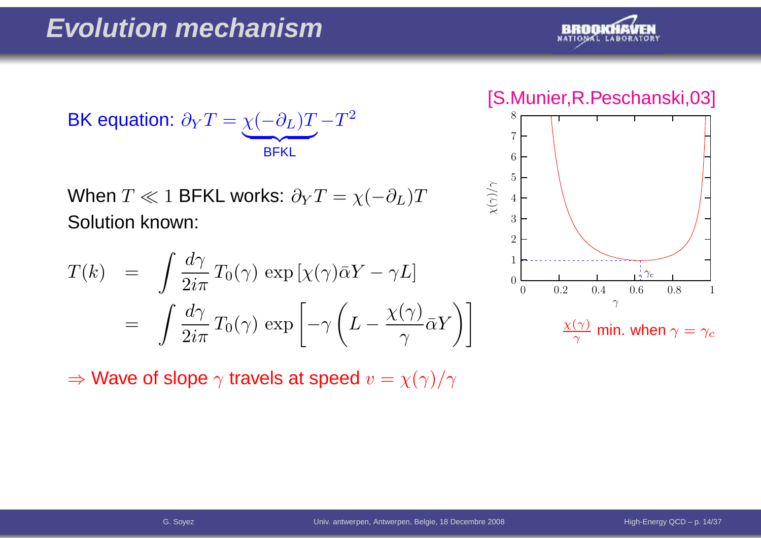

$$
\text{BK equation: } \partial_Y T = \underbrace{\chi(-\partial_L)T}_{\text{BFKL}} - T^2
$$

When  $T\ll 1$  BFKL works:  $\partial_{Y}T=\chi($  Solution known:  $-\partial_L)T$ 

$$
T(k) = \int \frac{d\gamma}{2i\pi} T_0(\gamma) \exp\left[\chi(\gamma)\bar{\alpha}Y - \gamma L\right]
$$
  
= 
$$
\int \frac{d\gamma}{2i\pi} T_0(\gamma) \exp\left[-\gamma \left(L - \frac{\chi(\gamma)}{\gamma} \bar{\alpha}Y\right)\right]
$$

[S.Munier,R.Peschanski,03]

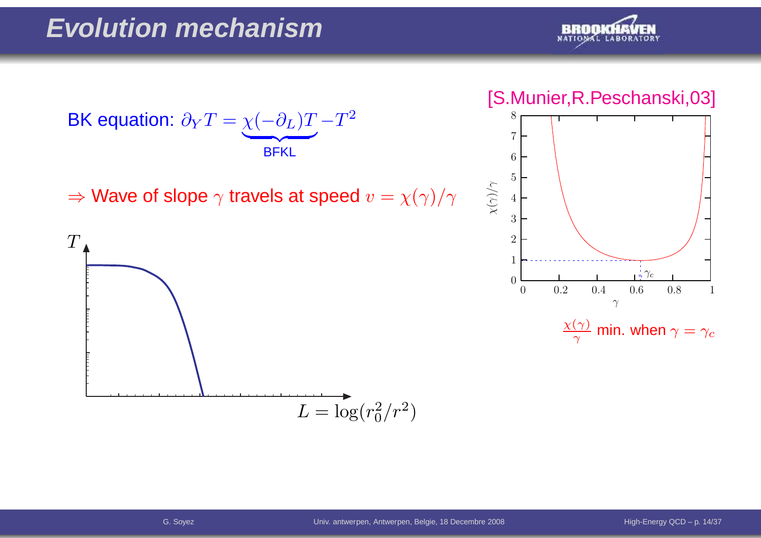

#### [S.Munier,R.Peschanski,03]



BK equation:  $\partial$  $\,$  $\bm{T}$ = $\chi$  $\left($  $\partial$ L)  $\bm{T}$  $\overline{\phantom{a}}$  BFKL− $\bm{T}$ 2

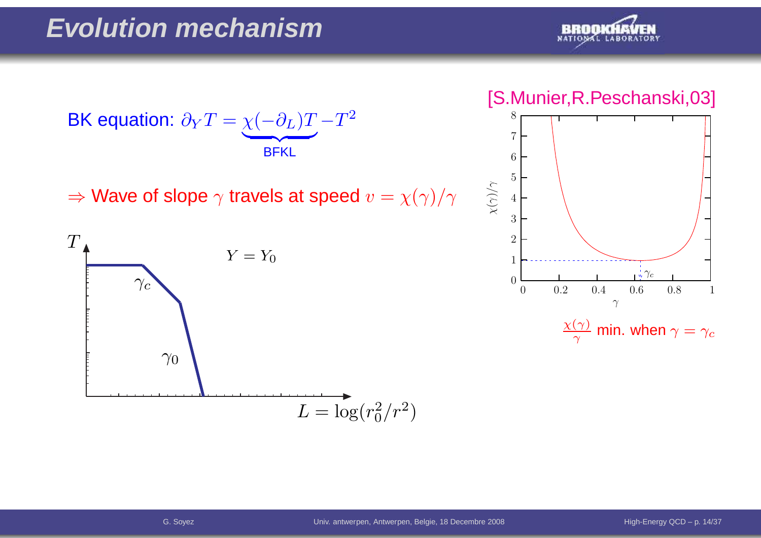

#### [S.Munier,R.Peschanski,03]





BK equation:  $\partial$  $\,$  $\bm{T}$ = $\chi$  $\left($  $\partial$ L)  $\bm{T}$  $\overline{\phantom{a}}$  BFKL− $\bm{T}$ 2

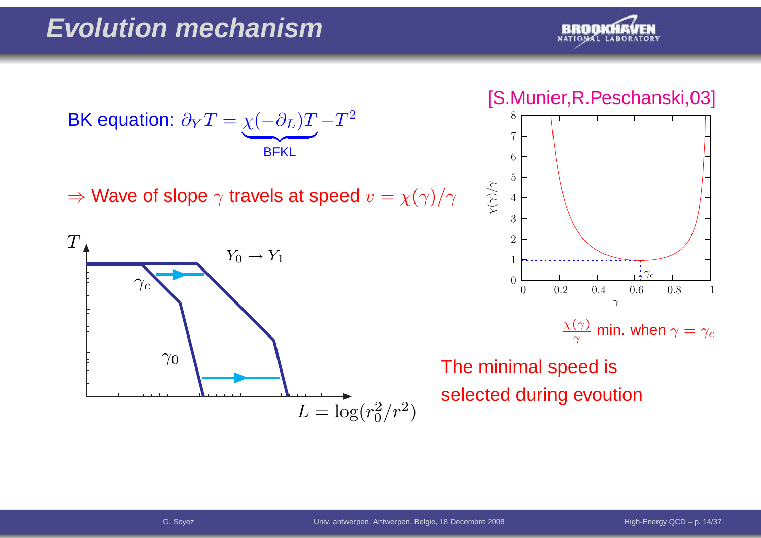

#### [S.Munier,R.Peschanski,03]



 $\frac{\chi(\gamma)}{\gamma}$  min. when  $\gamma=\gamma_c$ 

The minimal speed isselected during evoution



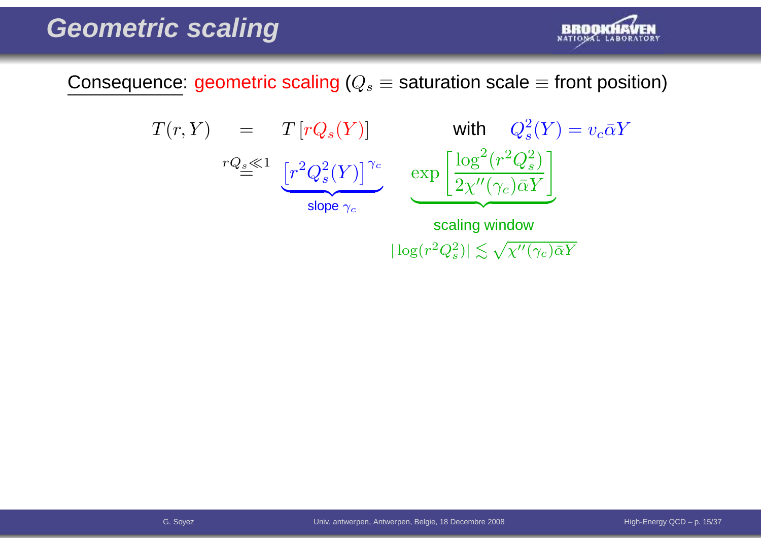

Consequence: geometric scaling ( $Q_s\equiv$  saturation scale  $\equiv$  front position)

$$
T(r, Y) = T[rQ_s(Y)] \text{ with } Q_s^2(Y) = v_c \bar{\alpha}Y
$$
  

$$
rQ_s \ll 1 \underbrace{[r^2Q_s^2(Y)]^{\gamma_c}}_{\text{slope } \gamma_c} \exp \left[ \frac{\log^2(r^2Q_s^2)}{2\chi''(\gamma_c)\bar{\alpha}Y} \right]
$$
  
scaling window

 $|\log(r^2Q_s^2)| \lesssim \sqrt{\chi''(\gamma_c)\bar{\alpha}Y}$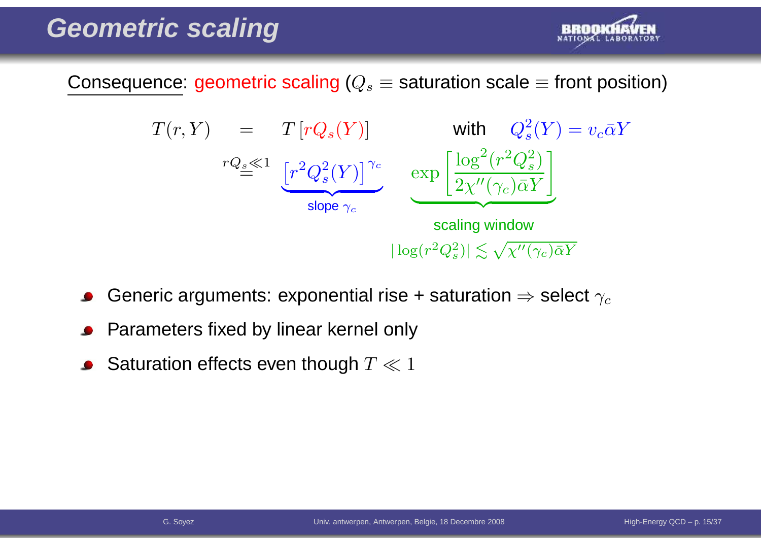

Consequence: geometric scaling ( $Q_s\equiv$  saturation scale  $\equiv$  front position)



- Generic arguments: exponential rise + saturation  $\Rightarrow$  select  $\gamma_c$
- Parameters fixed by linear kernel only
- Saturation effects even though  $T \ll 1$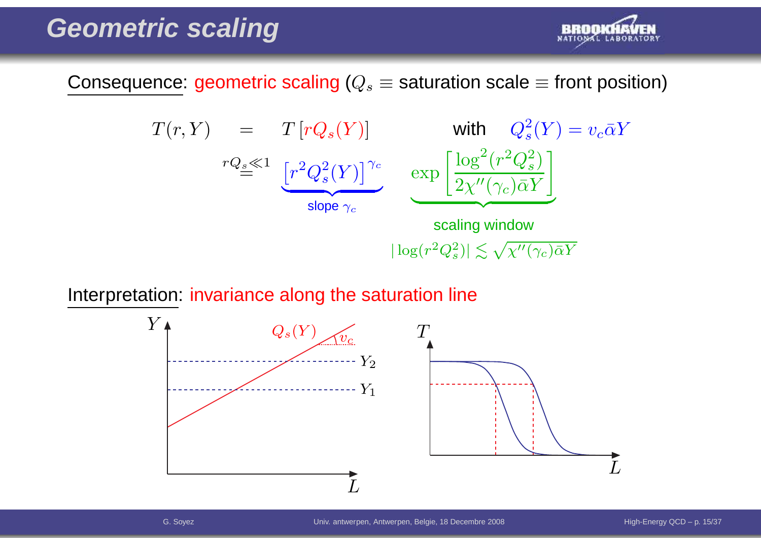

Consequence: geometric scaling ( $Q_s\equiv$  saturation scale  $\equiv$  front position)

$$
T(r, Y) = T[rQ_s(Y)] \text{ with } Q_s^2(Y) = v_c \bar{\alpha}Y
$$
  
\n
$$
rQ_s \ll 1 \underbrace{[r^2Q_s^2(Y)]^{\gamma_c}}_{\text{slope } \gamma_c} \underbrace{\exp\left[\frac{\log^2(r^2Q_s^2)}{2\chi''(\gamma_c)\bar{\alpha}Y}\right]}_{\text{scaling window}}
$$
  
\n
$$
|\log(r^2Q_s^2)| \lesssim \sqrt{\chi''(\gamma_c)\bar{\alpha}Y}
$$

Interpretation: invariance along the saturation line

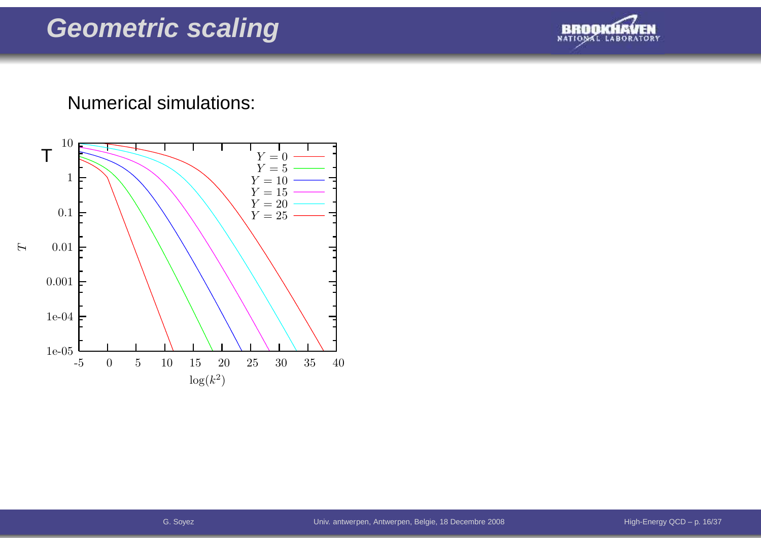

## Numerical simulations:

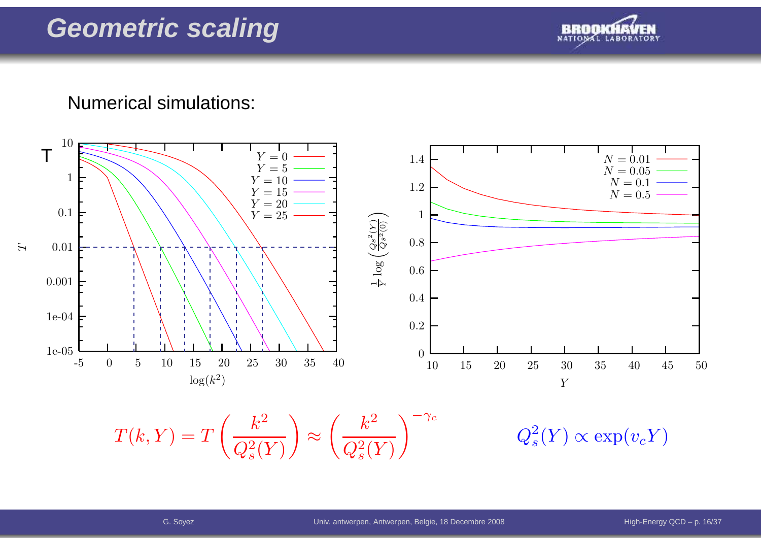

### Numerical simulations:



 $T(k, Y) = T\left(\frac{k^2}{Q_s^2(Y)}\right) \approx \left(\frac{k^2}{Q_s^2(Y)}\right)^{-\gamma_c} \qquad \qquad Q_s^2(Y) \propto \exp(v_c Y)$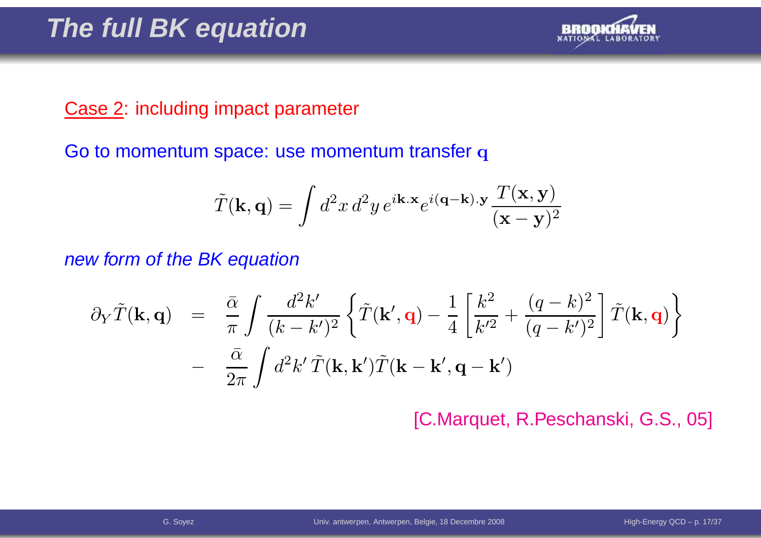

## Case 2: including impact parameter

Go to momentum space: use momentum transfer  ${\bf q}$ 

$$
\tilde{T}(\mathbf{k},\mathbf{q}) = \int d^2x \, d^2y \, e^{i\mathbf{k}.\mathbf{x}} e^{i(\mathbf{q}-\mathbf{k}).\mathbf{y}} \frac{T(\mathbf{x},\mathbf{y})}{(\mathbf{x}-\mathbf{y})^2}
$$

new form of the BK equation

$$
\partial_Y \tilde{T}(\mathbf{k}, \mathbf{q}) = \frac{\bar{\alpha}}{\pi} \int \frac{d^2 k'}{(k - k')^2} \left\{ \tilde{T}(\mathbf{k}', \mathbf{q}) - \frac{1}{4} \left[ \frac{k^2}{k'^2} + \frac{(q - k)^2}{(q - k')^2} \right] \tilde{T}(\mathbf{k}, \mathbf{q}) \right\} - \frac{\bar{\alpha}}{2\pi} \int d^2 k' \tilde{T}(\mathbf{k}, \mathbf{k}') \tilde{T}(\mathbf{k} - \mathbf{k}', \mathbf{q} - \mathbf{k}')
$$

[C.Marquet, R.Peschanski, G.S., 05]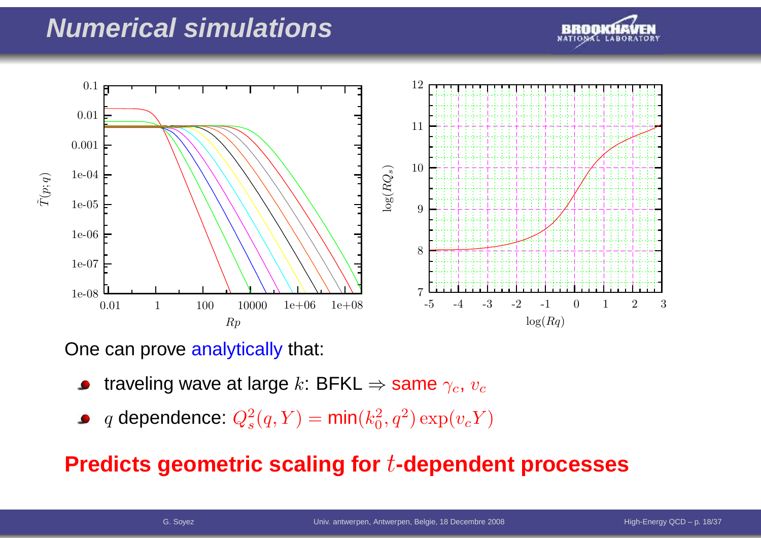## **Numerical simulations**





One can prove <mark>analytically</mark> that:

- traveling wave at large  $k$ : BFKL  $\Rightarrow$  same  $\gamma_c$ ,  $v_c$
- $q$  dependence:  $Q_s^2$  $s^2(q,Y) = \textsf{min}(k_0^2)$  $_0^2, q^2) \exp(v_c Y)$

## **Predicts geometric scaling for**t**-dependent processes**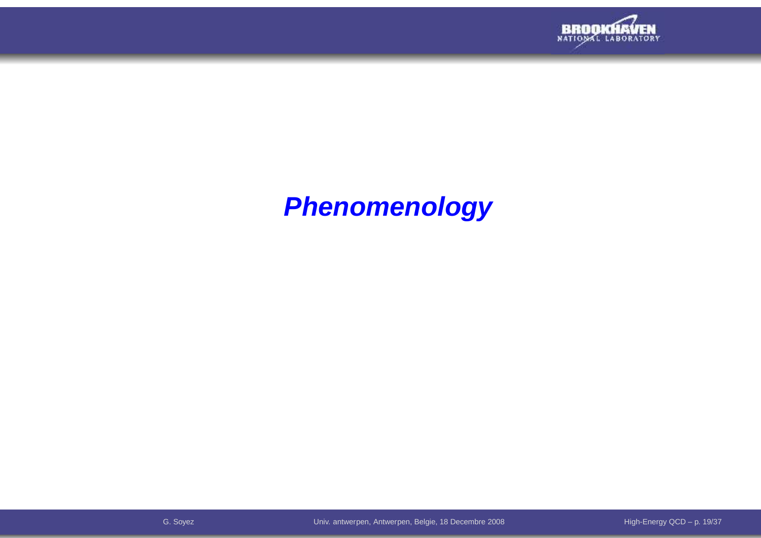

# **Phenomenology**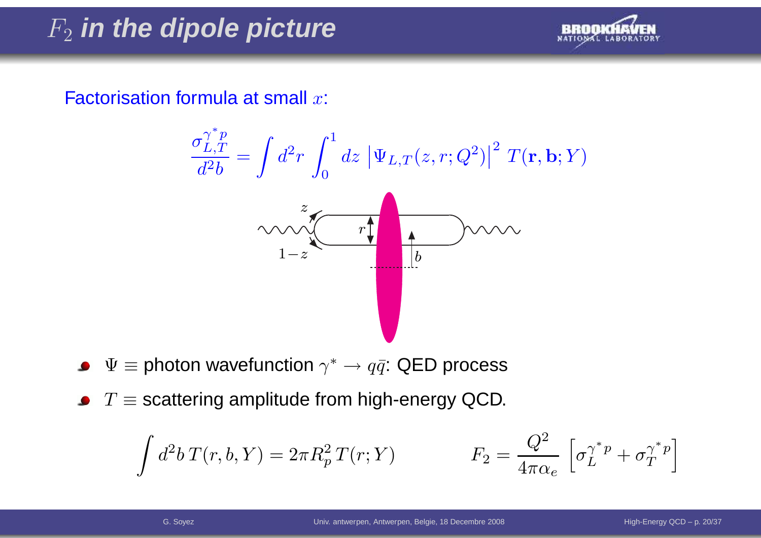# F2 **in the dipole picture**



Factorisation formula at small  $x$ :

$$
\frac{\sigma_{L,T}^{\gamma^* p}}{d^2 b} = \int d^2 r \int_0^1 dz \, |\Psi_{L,T}(z,r; Q^2)|^2 T(\mathbf{r}, \mathbf{b}; Y)
$$
  

$$
\sim \sqrt{\frac{z}{1-z}}
$$

- $\Psi \equiv$  photon wavefunction  $\gamma^* \rightarrow q \bar{q}$ : QED process  $\bullet$
- $T\equiv$  scattering amplitude from high-energy QCD.

$$
\int d^2b \, T(r, b, Y) = 2\pi R_p^2 \, T(r; Y) \qquad \qquad F_2 = \frac{Q^2}{4\pi \alpha_e} \left[ \sigma_L^{\gamma^* p} + \sigma_T^{\gamma^* p} \right]
$$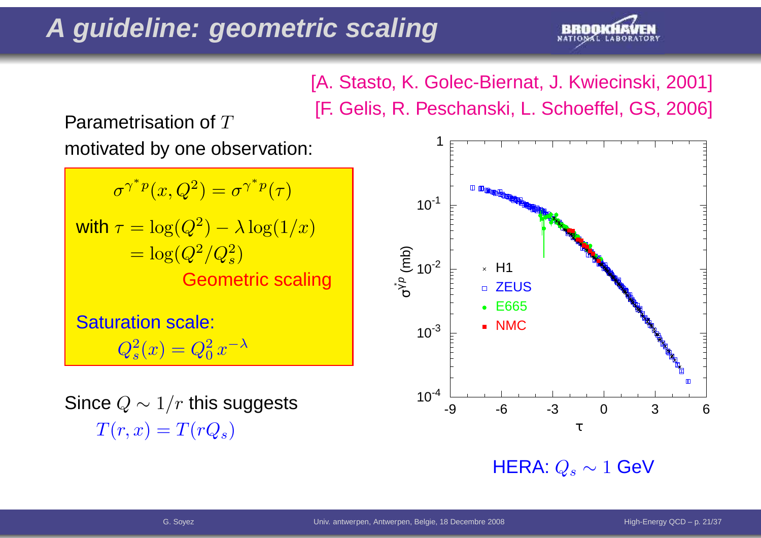# **A guideline: geometric scaling**



[A. Stasto, K. Golec-Biernat, J. Kwiecinski, 2001] [F. Gelis, R. Peschanski, L. Schoeffel, GS, 2006]

Parametrisation of  $T$ 

motivated by one observation:

 $\sigma^\gamma$ ∗ $\degree^p(x,Q^2) = \sigma^\gamma$ ∗ $\sqrt[r-p]{(\tau)}$ with  $\tau = \log(Q^2$  $\phantom{1.000}\phantom{1.00}\phantom{1.00}\phantom{1.000}\phantom{1.000}\phantom{1.000}\phantom{1.000}\phantom{1.000}\phantom{1.000}\phantom{1.000}\phantom{1.000}\phantom{1.000}\phantom{1.000}\phantom{1.000}\phantom{1.000}\phantom{1.000}\phantom{1.000}\phantom{1.000}\phantom{1.000}\phantom{1.000}\phantom{1.000}\phantom{1.000}\phantom{1.000}\phantom{1.000}\phantom{1.$  $^{\mathbf{2}})$  $-\lambda \log(1/x)$  Geometric scaling $\left( \frac{2}{s}\right)$ 

Saturation scale:

 $Q_s^2$  $s^2(x)=Q_0^2$  $_0^2 x^{-\lambda}$ 

Since  $Q\sim1/r$  this suggests  $T(r,x)=T(rQ_s)$ 



 $\mathsf{HERA}\!\!:Q_s\sim 1$   $\mathsf{GeV}$ .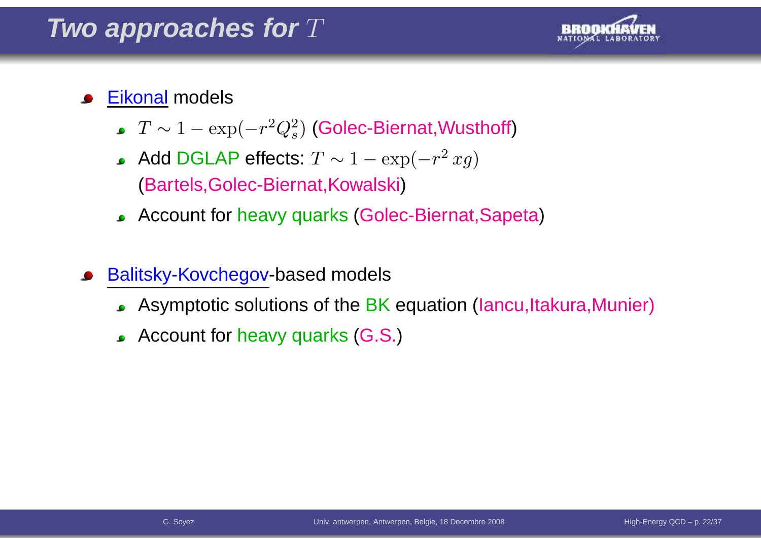## Two approaches for  $T$



#### <u>Eikonal</u> models  $\bullet$

- $T\sim1 -\exp($  $-r^2$  $^2Q_s^2$  $\mathbf{s}^{2}$ ) (Golec-Biernat,Wusthoff)
- Add DGLAP effects:  $T \sim 1 -$  (Bartels,Golec-Biernat,Kowalski) $-\exp($  $-r^2$  $^{2}\,xg)$
- Account for heavy quarks(Golec-Biernat,Sapeta)
- Balitsky-Kovchegov-based models
	- Asymptotic solutions of the BK equation (Iancu,Itakura,Munier)
	- Account for heavy quarks (G.S.)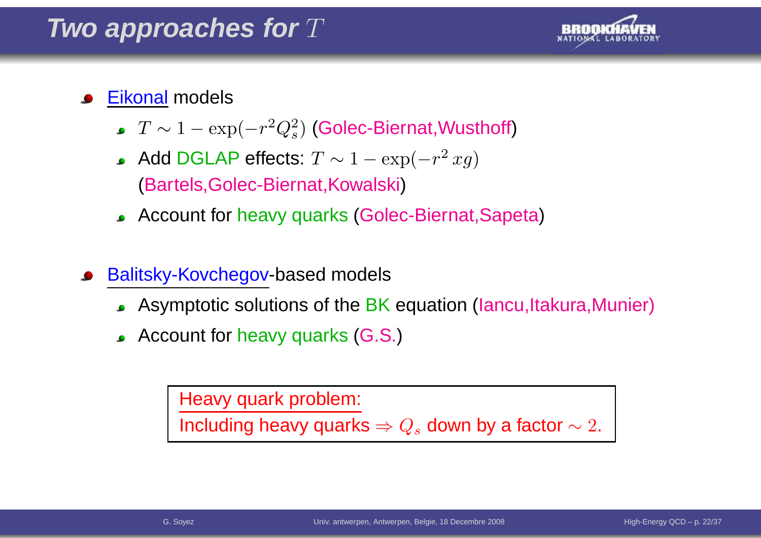

## <u>Eikonal</u> models

- $T\sim1 -\exp($  $-r^2$  $^2Q_s^2$  $\mathbf{s}^{2}$ ) (Golec-Biernat,Wusthoff)
- Add DGLAP effects:  $T \sim 1 -$  (Bartels,Golec-Biernat,Kowalski) $-\exp($  $-r^2$  $^{2}\,xg)$
- Account for heavy quarks(Golec-Biernat,Sapeta)
- Balitsky-Kovchegov-based models
	- Asymptotic solutions of the BK equation (Iancu,Itakura,Munier)
	- Account for heavy quarks (G.S.)

Heavy quark problem:

Including heavy quarks  $\Rightarrow Q_s$  down by a factor  $\sim 2.$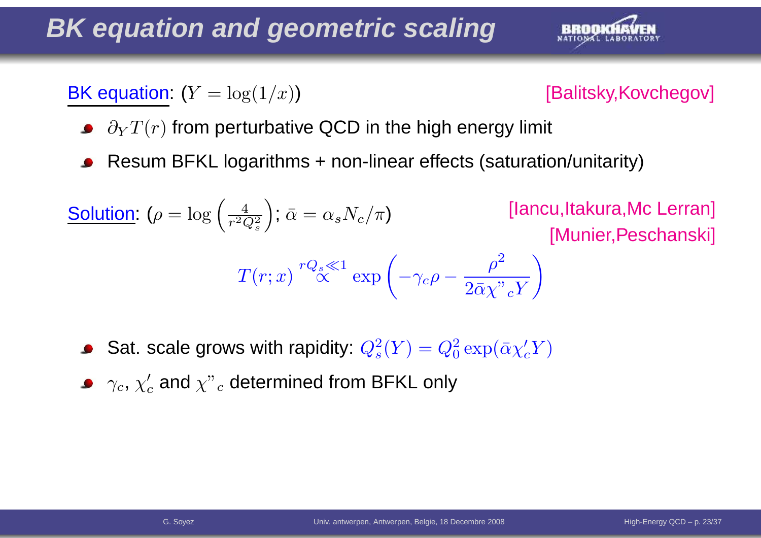# **BK equation and geometric scaling**



**BK** equation:  $(Y = log(1/x))$ 



- $\partial_Y T(r)$  from perturbative QCD in the high energy limit
- Resum BFKL logarithms <sup>+</sup> non-linear effects (saturation/unitarity)

**Solution:** 
$$
(\rho = \log\left(\frac{4}{r^2 Q_s^2}\right)
$$
;  $\bar{\alpha} = \alpha_s N_c/\pi$  [lancu,ltakura,Mc Lerran]  
\n[T(r; x)  ${}^{rQ_s \ll 1}$  exp  $\left(-\gamma_c \rho - \frac{\rho^2}{2\bar{\alpha}\chi^{"}cY}\right)$ 

- Sat. scale grows with rapidity:  $Q_s^2$  $s<sup>2</sup>(Y) = Q<sub>0</sub><sup>2</sup>$  $\frac{2}{0} \exp(\bar{\alpha} \chi_c' Y)$
- $\gamma_c,\,\chi'_c$  and  $\chi"$  $\overline{c}$  determined from BFKL only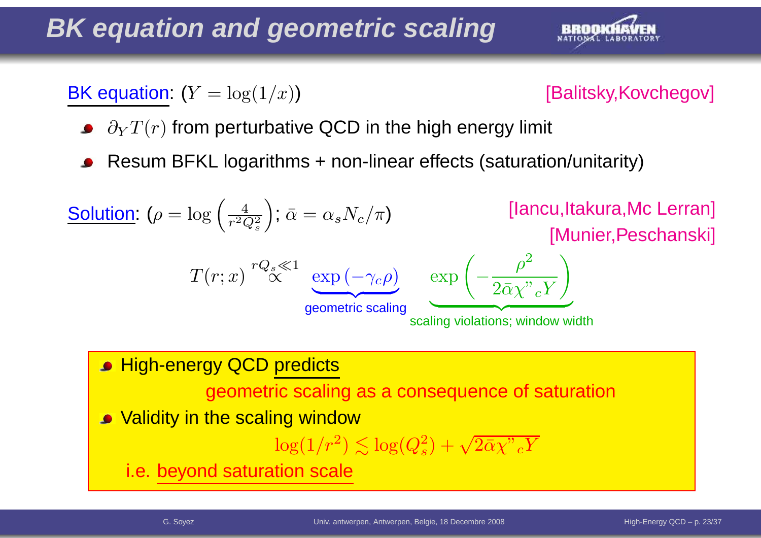# **BK equation and geometric scaling**



**BK** equation:  $(Y = log(1/x))$ 



- $\partial_Y T(r)$  from perturbative QCD in the high energy limit
- Resum BFKL logarithms <sup>+</sup> non-linear effects (saturation/unitarity)

| Solution: $(\rho = \log\left(\frac{4}{r^2 Q_s^2}\right); \bar{\alpha} = \alpha_s N_c/\pi)$ | [lancu,ltakura,Mc Lerran]        |                                   |                                                           |
|--------------------------------------------------------------------------------------------|----------------------------------|-----------------------------------|-----------------------------------------------------------|
| $T(r; x)$                                                                                  | ${}^rQ_s \le 1$                  | $\exp\left(-\gamma_c \rho\right)$ | $\exp\left(-\frac{\rho^2}{2\bar{\alpha}\chi^v cY}\right)$ |
| <b>9</b> High-energy QCD predicts                                                          | scaling violations; window width |                                   |                                                           |

geometric scaling as <sup>a</sup> consequence of saturation

• Validity in the scaling window

$$
\log(1/r^2) \lesssim \log(Q_s^2) + \sqrt{2\bar{\alpha}\chi"{}_{c}Y}
$$

i.e. beyond saturation scale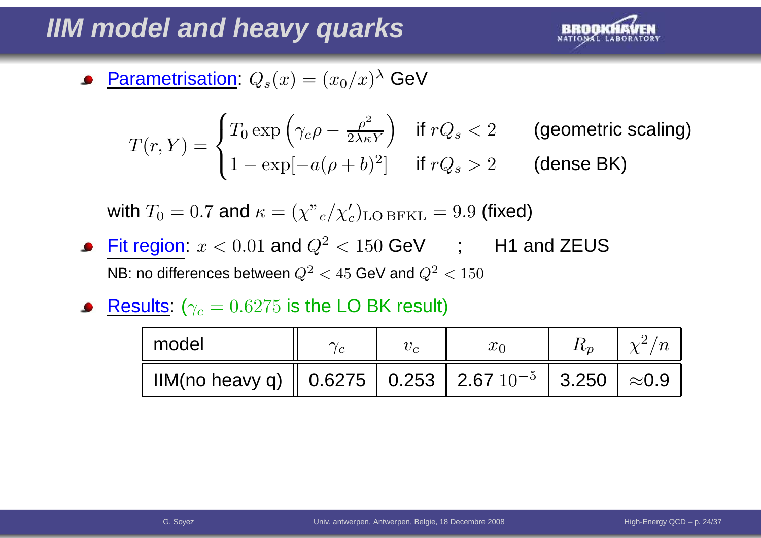# **IIM model and heavy quarks**



Parametrisation:  $Q_s(x)=(x_0/x)^\lambda$  GeV

$$
T(r,Y) = \begin{cases} T_0 \exp\left(\gamma_c \rho - \frac{\rho^2}{2\lambda \kappa Y}\right) & \text{if } rQ_s < 2 \\ 1 - \exp[-a(\rho + b)^2] & \text{if } rQ_s > 2 \end{cases} \quad \text{(generic scaling)}
$$

with  $T_0 = 0.7$  and  $\kappa = (\chi^v{}_c/\chi'_c)_{\rm LO\,BFKL} = 9.9$  (fixed)

- Fit region:  $x < 0.01$  and  $Q^2$ NB: no differences between  $Q^2$  $e^2 < 150$  GeV ; H1 and ZEUS  $^2$   $<$   $45$  GeV and  $Q^2$  $\frac{2}{5}$  < 150
- $\textsf{Results: } (\gamma_c = 0.6275 \text{ is the LO BK result})$

| model                                                                                                                       |  |  | $\chi^2/n$ |
|-----------------------------------------------------------------------------------------------------------------------------|--|--|------------|
| IIM(no heavy q) $\parallel$ 0.6275 $\parallel$ 0.253 $\parallel$ 2.67 $10^{-5}$ $\parallel$ 3.250 $\parallel$ $\approx$ 0.9 |  |  |            |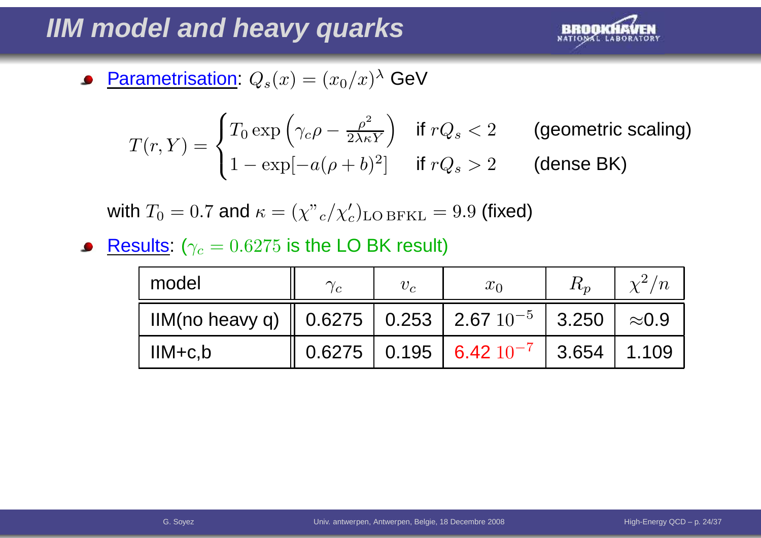# **IIM model and heavy quarks**



• Parametrisation: 
$$
Q_s(x) = (x_0/x)^{\lambda}
$$
 GeV

$$
T(r,Y) = \begin{cases} T_0 \exp\left(\gamma_c \rho - \frac{\rho^2}{2\lambda \kappa Y}\right) & \text{if } rQ_s < 2 \\ 1 - \exp[-a(\rho + b)^2] & \text{if } rQ_s > 2 \end{cases} \quad \text{(genmetric scaling)}
$$

with  $T_0 = 0.7$  and  $\kappa = (\chi^v{}_c/\chi'_c)_{\rm LO\,BFKL} = 9.9$  (fixed)

 $\textsf{Results: } (\gamma_c = 0.6275 \text{ is the LO BK result})$ 

| model                                                     | $\gamma_c$ | $v_c$ | $x_0$                                     | $R_{n}$ | $\chi^2/n$    |
|-----------------------------------------------------------|------------|-------|-------------------------------------------|---------|---------------|
| IIM(no heavy q)   0.6275   0.253   2.67 $10^{-5}$   3.250 |            |       |                                           |         | $\approx$ 0.9 |
| $IIM+c,b$                                                 |            |       | $0.6275$   0.195   6.42 $10^{-7}$   3.654 |         | 1.109         |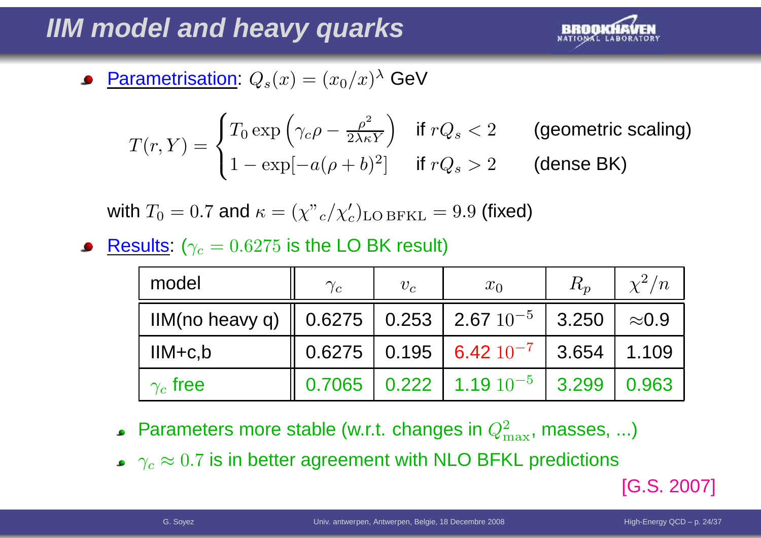# **IIM model and heavy quarks**



Parametrisation:  $Q_s(x)=(x_0/x)^\lambda$  GeV

$$
T(r,Y) = \begin{cases} T_0 \exp\left(\gamma_c \rho - \frac{\rho^2}{2\lambda \kappa Y}\right) & \text{if } rQ_s < 2\\ 1 - \exp[-a(\rho + b)^2] & \text{if } rQ_s > 2 \end{cases} \quad \text{(genmetric scaling)}
$$

with  $T_0 = 0.7$  and  $\kappa = (\chi^v{}_c/\chi'_c)_{\rm LO\,BFKL} = 9.9$  (fixed)

 $\textsf{Results: } (\gamma_c = 0.6275 \text{ is the LO BK result})$ 

| model                                                                                             | $\gamma_c$ | $v_c$ | $x_0$                                                                             | $R_p$ | $\chi^2/n$    |
|---------------------------------------------------------------------------------------------------|------------|-------|-----------------------------------------------------------------------------------|-------|---------------|
| IIM(no heavy q) $\parallel$ 0.6275 $\parallel$ 0.253 $\parallel$ 2.67 $10^{-5}$ $\parallel$ 3.250 |            |       |                                                                                   |       | $\approx$ 0.9 |
| $IIM+c,b$                                                                                         |            |       | $\parallel$ 0.6275 $\parallel$ 0.195 $\parallel$ 6.42 $10^{-7}$ $\parallel$ 3.654 |       | 1.109         |
| $\gamma_c$ free                                                                                   |            |       | $0.7065$   0.222   1.19 $10^{-5}$   3.299                                         |       | 0.963         |

- Parameters more stable (w.r.t. changes in  $Q_{\rm n}^2$  $^2_{\rm max}$ , masses, ...)
- $\gamma_c\approx0.7$  is in better agreement with NLO BFKL predictions

[G.S. 2007]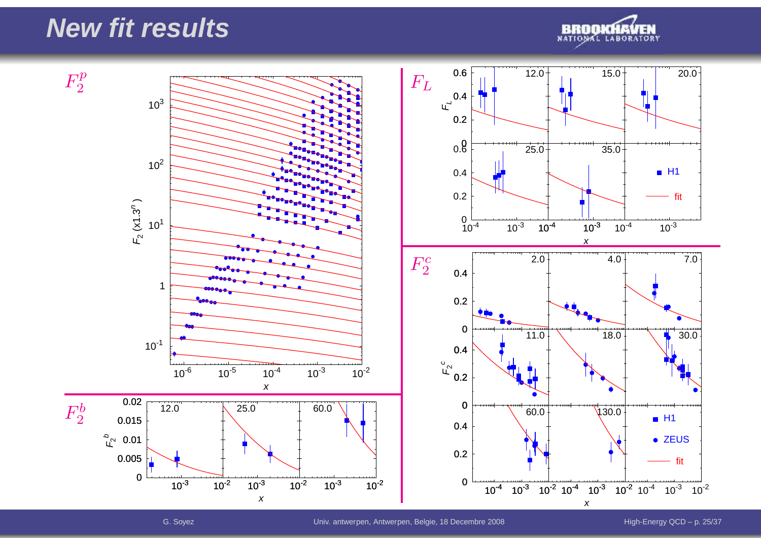## **New fit results**



 $10^{-6}$   $10^{-5}$   $10^{-4}$   $10^{-3}$   $10^{-2}$ x $10^{-1}$ 1 $10^{1}$  $10^{2}$  $10^{3}$ ய<br>  $(x1.3^{n}$ <u>ົ</u>  $0 \frac{1}{10^3} \frac{10^2}{10^2}$ 0.005ຼື $\mathfrak{c}^{\circ}$ 0.01 0.0150.02 $10^{-3}$   $10^{-2}$ x<sup>10</sup>-<sup>3</sup> <sup>10</sup>-<sup>2</sup> 12.0 25.0 $10^{-2}$ 60.0 $10<sup>-4</sup>$  10<sup>-3</sup> x0 0.60.2u<sup>d</sup> 0.4 0.6 12.0 15.0 20.0  $0\frac{1}{10^{-4}}$  10<sup>-3</sup> 0.20.4 25.035.0 $10^{-4}$   $10^{-3}$  $H1$ fit10 $^4$  10 $^3$  10 $^2$  10 $^4$  10 $^3$  10 $^2$ 00.2 0.4 F<sup>2</sup> c 00.20.42.00  $\uparrow$  4.0  $\uparrow$  7.0 11.0 $0 \uparrow \qquad \qquad 18.0 \uparrow \qquad \qquad 30.0$  $0 \frac{1}{10^4}$   $10^{-3}$ 0.20.460.0130.0 $H1$ • ZEUS fit $F_2^p$  $F_2^b$  $F_L$  $F_2^c$ 

x

a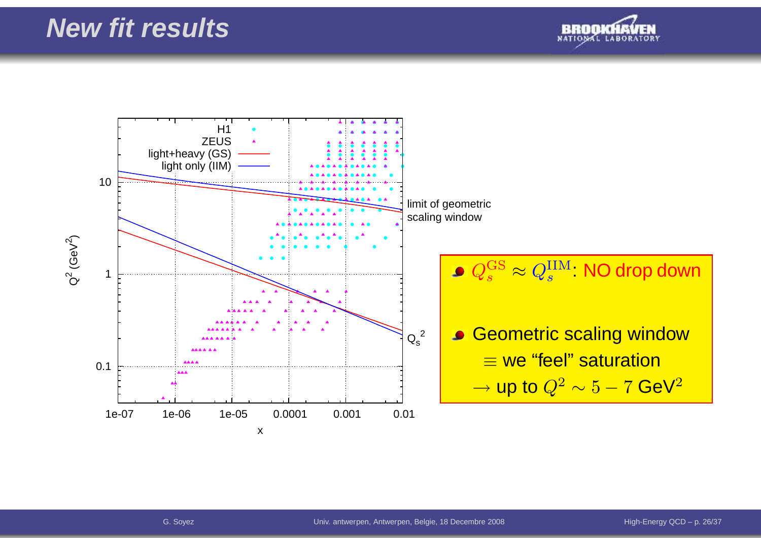

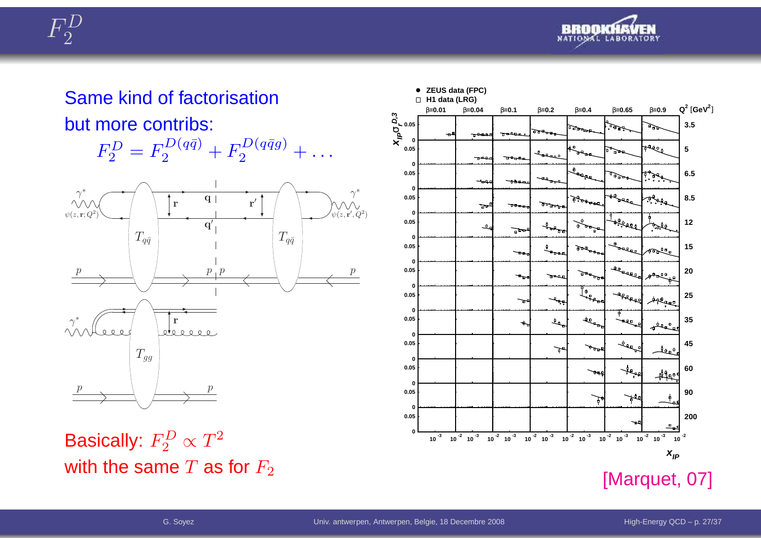



## Same kind of factorisationbut more contribs:





Basically:  $F_2^D \propto T^2$ with the same  $T$  as for  $F_2$ 

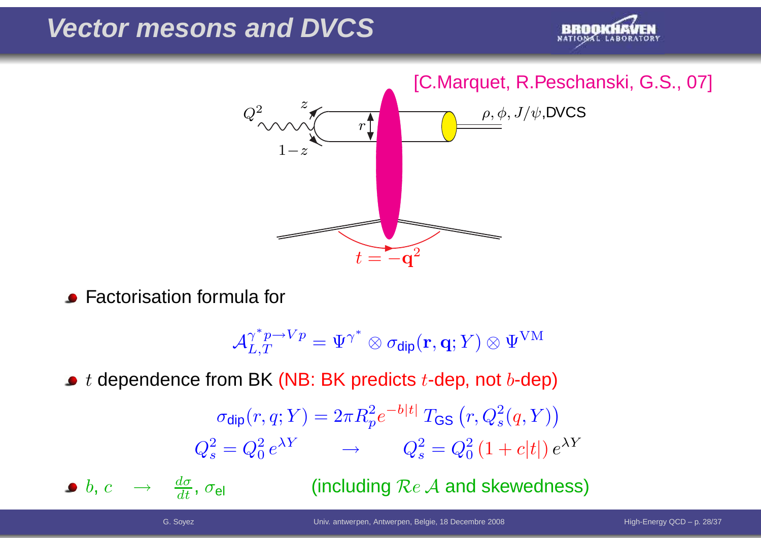## **Vector mesons and DVCS**





Factorisation formula for

$$
\mathcal{A}^{\gamma^*p\rightarrow Vp}_{L,T}=\Psi^{\gamma^*}\otimes \sigma_{\textsf{dip}}(\mathbf{r},\mathbf{q};Y)\otimes \Psi^{\text{VM}}
$$

 $t$  dependence from BK (NB: BK predicts  $t$ -dep, not  $b$ -dep)

$$
\sigma_{\text{dip}}(r, q; Y) = 2\pi R_p^2 e^{-b|t|} T_{\text{GS}}(r, Q_s^2(q, Y))
$$

$$
Q_s^2 = Q_0^2 e^{\lambda Y} \longrightarrow Q_s^2 = Q_0^2 (1 + c|t|) e^{\lambda Y}
$$

 $b,\,c\quad\rightarrow\quad$  $\rightarrow \frac{d\sigma}{dt}$ ,  $\sigma_\mathsf{el}$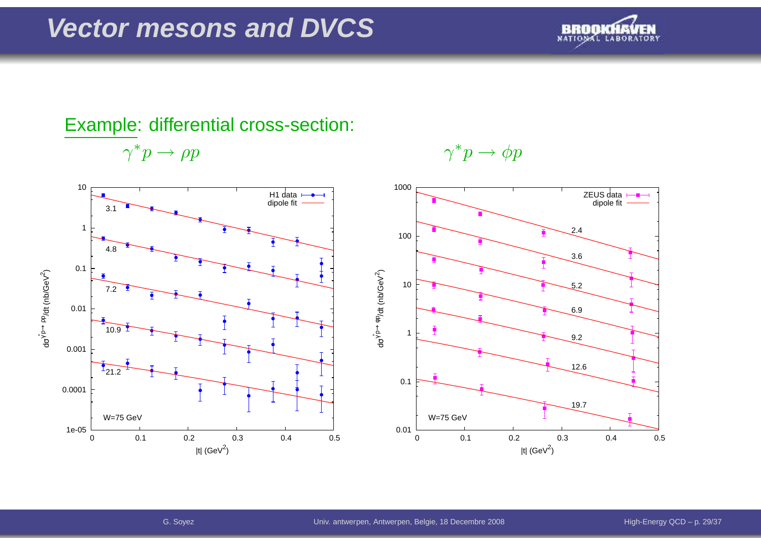## **Vector mesons and DVCS**



## Example: differential cross-section:

 $\gamma^*$  $\cdot p \rightarrow$ 





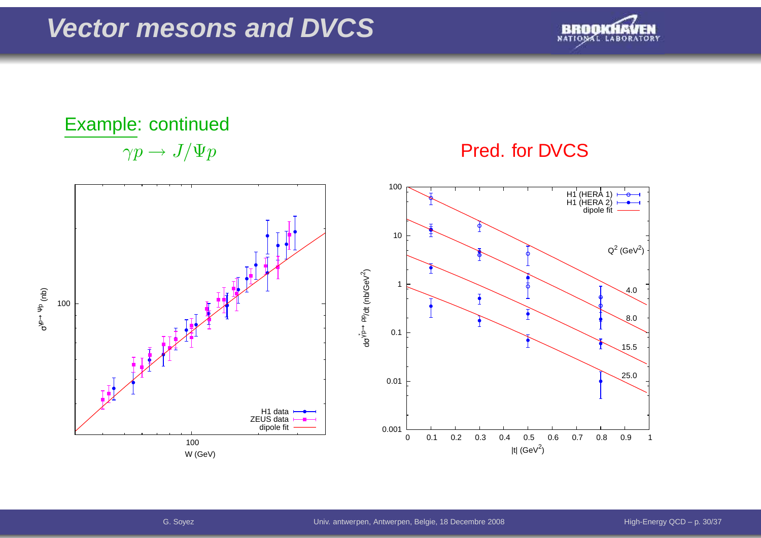

# Example: continued $\gamma p \to J/\Psi p$



## Pred. for DVCS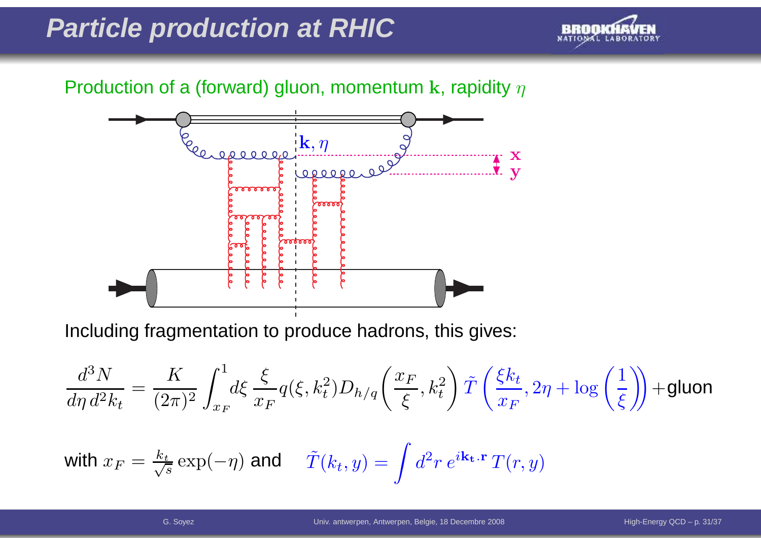## **Particle production at RHIC**



## Production of a (forward) gluon, momentum  ${\bf k}$ , rapidity  $\eta$



Including fragmentation to produce hadrons, this gives:

$$
\frac{d^3N}{d\eta\,d^2k_t} = \frac{K}{(2\pi)^2} \int_{x_F}^1 d\xi \, \frac{\xi}{x_F} q(\xi, k_t^2) D_{h/q}\left(\frac{x_F}{\xi}, k_t^2\right) \tilde{T}\left(\frac{\xi k_t}{x_F}, 2\eta + \log\left(\frac{1}{\xi}\right)\right) + \text{gluon}
$$

with 
$$
x_F = \frac{k_t}{\sqrt{s}} \exp(-\eta)
$$
 and  $\tilde{T}(k_t, y) = \int d^2 r e^{i\mathbf{k_t} \cdot \mathbf{r}} T(r, y)$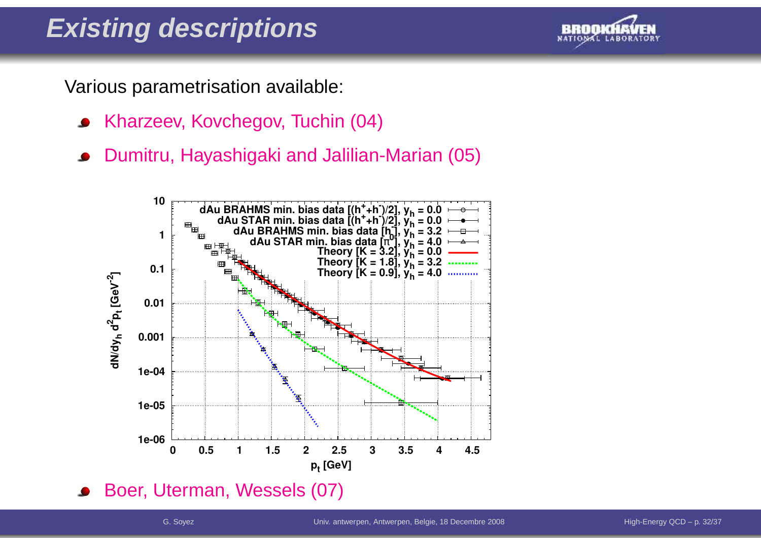# **Existing descriptions**

Various parametrisation available:

- Kharzeev, Kovchegov, Tuchin (04)
- Dumitru, Hayashigaki and Jalilian-Marian (05)

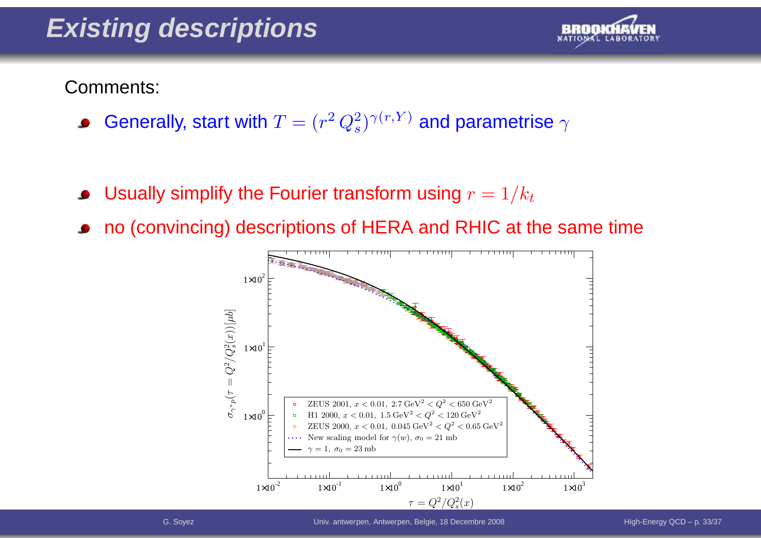# **Existing descriptions**



Comments:

- Generally, start with  $T=(r^2$  $^2\,Q_s^2$  $s^{(2)\gamma(r,Y)}$  and parametrise  $\gamma$
- Usually simplify the Fourier transform using  $r = 1/k_t$
- no (convincing) descriptions of HERA and RHIC at the same time

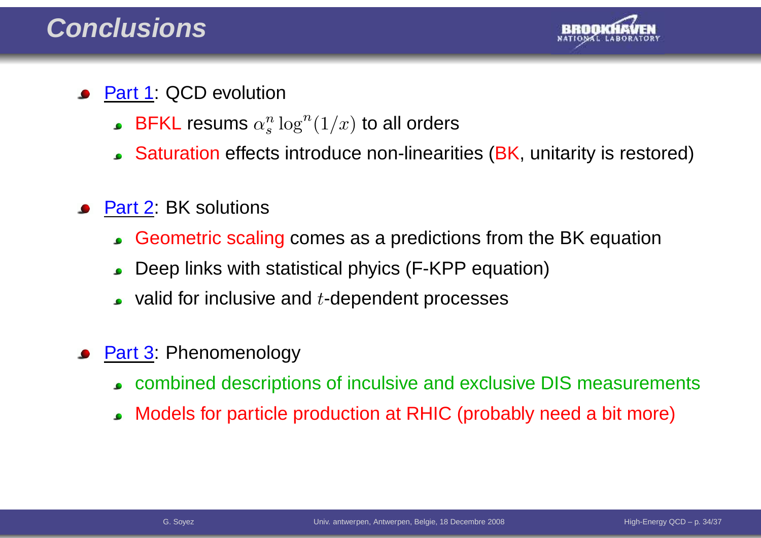

- Part 1: QCD evolution
	- $\mathsf{BFKL}$  resums  $\alpha_s^n \log^n(1/x)$  to all orders
	- $\sf{Saturation}$  effects introduce non-linearities (BK, unitarity is restored)
- Part 2: BK solutions
	- Geometric scaling comes as <sup>a</sup> predictions from the BK equation  $\bullet$
	- Deep links with statistical phyics (F-KPP equation) $\bullet$
	- valid for inclusive and  $t$ -dependent processes
- Part 3: Phenomenology
	- combined descriptions of inculsive and exclusive DIS measurements
	- Models for particle production at RHIC (probably need <sup>a</sup> bit more) $\bullet$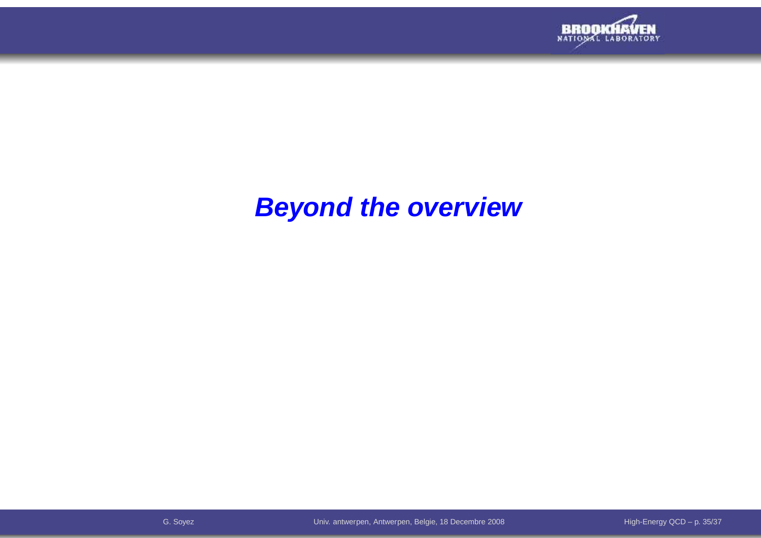

## **Beyond the overview**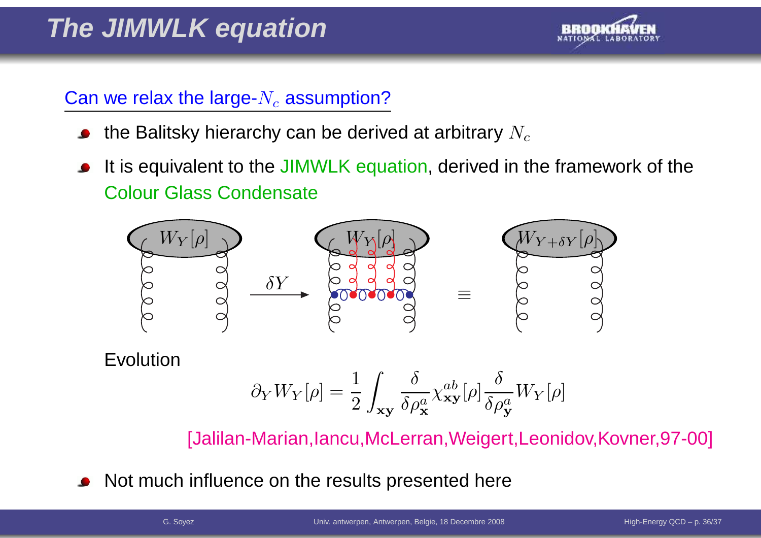

## Can we relax the large- $N_c$  assumption?

- the Balitsky hierarchy can be derived at arbitrary  $N_c$
- It is equivalent to the JIMWLK equation, derived in the framework of the Colour Glass Condensate



Evolution

$$
\partial_Y W_Y[\rho] = \frac{1}{2} \int_{\mathbf{xy}} \frac{\delta}{\delta \rho_\mathbf{x}^a} \chi_{\mathbf{xy}}^{ab}[\rho] \frac{\delta}{\delta \rho_\mathbf{y}^a} W_Y[\rho]
$$

[Jalilan-Marian,Iancu,McLerran,Weigert,Leonidov,Kovner,97-00]

Not much influence on the results presented here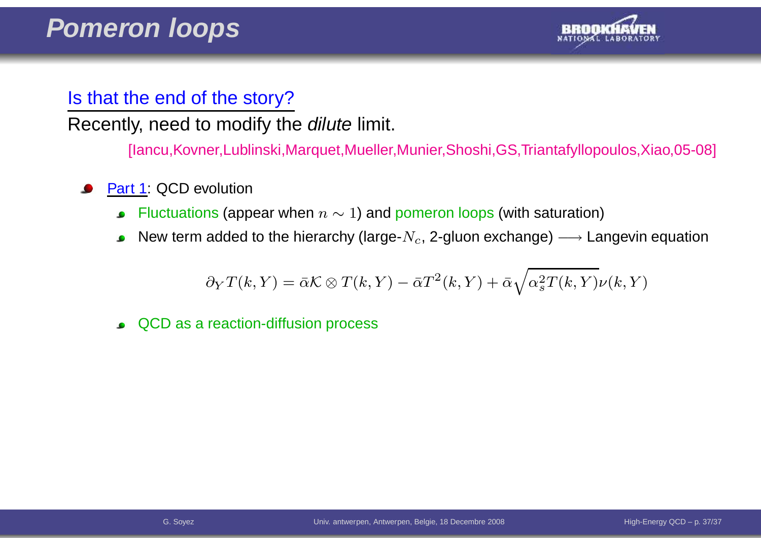

## Is that the end of the story?

Recently, need to modify the *dilute* limit.

[Iancu,Kovner,Lublinski,Marquet,Mueller,Munier,Shoshi,GS,Triantafyllopoulos,Xiao,05-08]

- Part 1: QCD evolution
	- Fluctuations (appear when  $n\sim 1$ ) and pomeron loops (with saturation)  $\bullet$
	- New term added to the hierarchy (large- $N_c$ , 2-gluon exchange)  $\longrightarrow$  Langevin equation

$$
\partial_Y T(k,Y) = \bar{\alpha} \mathcal{K} \otimes T(k,Y) - \bar{\alpha} T^2(k,Y) + \bar{\alpha} \sqrt{\alpha_s^2 T(k,Y)} \nu(k,Y)
$$

QCD as <sup>a</sup> reaction-diffusion process $\bullet$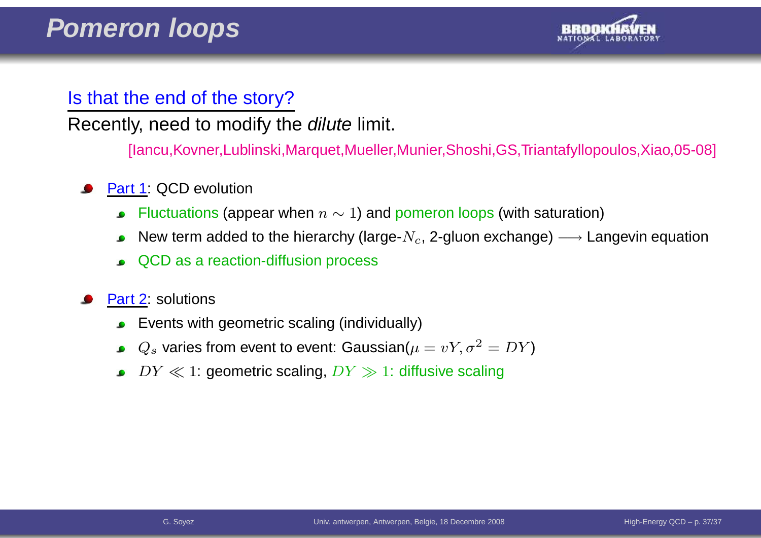

## Is that the end of the story?

Recently, need to modify the *dilute* limit.

[Iancu,Kovner,Lublinski,Marquet,Mueller,Munier,Shoshi,GS,Triantafyllopoulos,Xiao,05-08]

- Part 1: QCD evolution
	- Fluctuations (appear when  $n\sim 1$ ) and pomeron loops (with saturation)  $\bullet$
	- New term added to the hierarchy (large- $N_c$ , 2-gluon exchange)  $\longrightarrow$  Langevin equation
	- QCD as <sup>a</sup> reaction-diffusion process
- Part 2: solutions
	- Events with geometric scaling (individually) $\bullet$
	- $Q_s$  varies from event to event: Gaussian $(\mu=vY,\sigma^2=DY)$
	- $DY \ll 1$ : geometric scaling,  $DY \gg 1$ : diffusive scaling